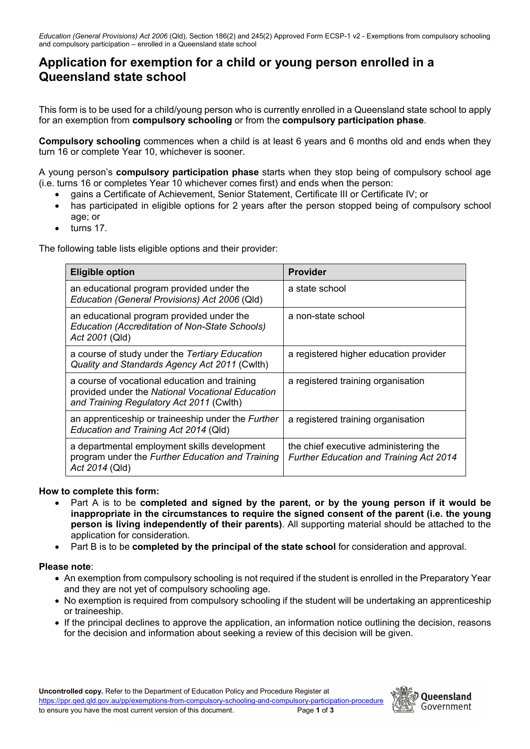## **Application for exemption for a child or young person enrolled in a Queensland state school**

This form is to be used for a child/young person who is currently enrolled in a Queensland state school to apply for an exemption from **compulsory schooling** or from the **compulsory participation phase**.

**Compulsory schooling** commences when a child is at least 6 years and 6 months old and ends when they turn 16 or complete Year 10, whichever is sooner.

A young person's **compulsory participation phase** starts when they stop being of compulsory school age (i.e. turns 16 or completes Year 10 whichever comes first) and ends when the person:

- gains a Certificate of Achievement, Senior Statement, Certificate III or Certificate IV; or
- has participated in eligible options for 2 years after the person stopped being of compulsory school age; or
- turns 17.

The following table lists eligible options and their provider:

| <b>Eligible option</b>                                                                                                                        | <b>Provider</b>                                                                         |
|-----------------------------------------------------------------------------------------------------------------------------------------------|-----------------------------------------------------------------------------------------|
| an educational program provided under the<br>Education (General Provisions) Act 2006 (Qld)                                                    | a state school                                                                          |
| an educational program provided under the<br>Education (Accreditation of Non-State Schools)<br>Act 2001 (Qld)                                 | a non-state school                                                                      |
| a course of study under the Tertiary Education<br>Quality and Standards Agency Act 2011 (Cwlth)                                               | a registered higher education provider                                                  |
| a course of vocational education and training<br>provided under the National Vocational Education<br>and Training Regulatory Act 2011 (Cwlth) | a registered training organisation                                                      |
| an apprenticeship or traineeship under the <i>Further</i><br>Education and Training Act 2014 (Qld)                                            | a registered training organisation                                                      |
| a departmental employment skills development<br>program under the Further Education and Training<br>Act 2014 (Qld)                            | the chief executive administering the<br><b>Further Education and Training Act 2014</b> |

## **How to complete this form:**

- Part A is to be **completed and signed by the parent, or by the young person if it would be inappropriate in the circumstances to require the signed consent of the parent (i.e. the young person is living independently of their parents)**. All supporting material should be attached to the application for consideration.
- Part B is to be **completed by the principal of the state school** for consideration and approval.

## **Please note**:

- An exemption from compulsory schooling is not required if the student is enrolled in the Preparatory Year and they are not yet of compulsory schooling age.
- No exemption is required from compulsory schooling if the student will be undertaking an apprenticeship or traineeship.
- If the principal declines to approve the application, an information notice outlining the decision, reasons for the decision and information about seeking a review of this decision will be given.

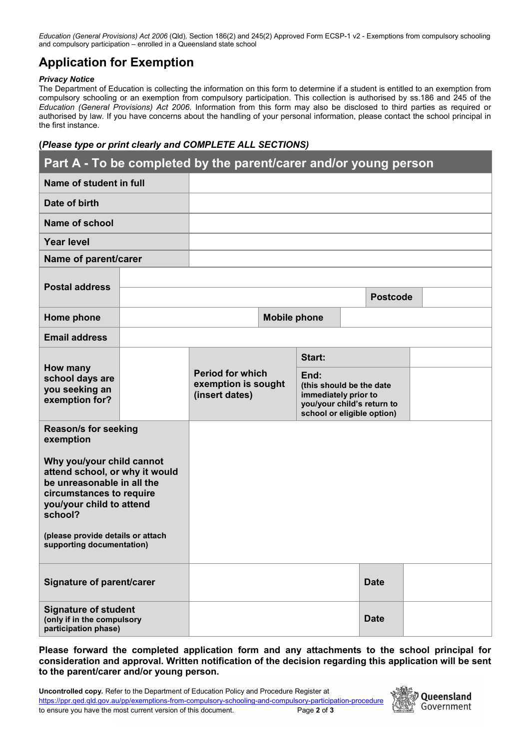*Education (General Provisions) Act 2006* (Qld)*,* Section 186(2) and 245(2) Approved Form ECSP-1 v2 - Exemptions from compulsory schooling and compulsory participation – enrolled in a Queensland state school

# **Application for Exemption**

#### *Privacy Notice*

The Department of Education is collecting the information on this form to determine if a student is entitled to an exemption from compulsory schooling or an exemption from compulsory participation. This collection is authorised by ss.186 and 245 of the *Education (General Provisions) Act 2006*. Information from this form may also be disclosed to third parties as required or authorised by law. If you have concerns about the handling of your personal information, please contact the school principal in the first instance.

## **(***Please type or print clearly and COMPLETE ALL SECTIONS)*

| Part A - To be completed by the parent/carer and/or young person |                         |                                       |                     |                                                  |  |                            |  |
|------------------------------------------------------------------|-------------------------|---------------------------------------|---------------------|--------------------------------------------------|--|----------------------------|--|
| Name of student in full                                          |                         |                                       |                     |                                                  |  |                            |  |
| Date of birth                                                    |                         |                                       |                     |                                                  |  |                            |  |
| <b>Name of school</b>                                            |                         |                                       |                     |                                                  |  |                            |  |
| <b>Year level</b>                                                |                         |                                       |                     |                                                  |  |                            |  |
| Name of parent/carer                                             |                         |                                       |                     |                                                  |  |                            |  |
| <b>Postal address</b>                                            |                         |                                       |                     |                                                  |  |                            |  |
|                                                                  |                         |                                       |                     |                                                  |  | <b>Postcode</b>            |  |
| Home phone                                                       |                         |                                       | <b>Mobile phone</b> |                                                  |  |                            |  |
| <b>Email address</b>                                             |                         |                                       |                     |                                                  |  |                            |  |
|                                                                  |                         |                                       |                     | Start:                                           |  |                            |  |
| How many<br>school days are                                      | <b>Period for which</b> |                                       |                     | End:                                             |  |                            |  |
| you seeking an<br>exemption for?                                 |                         | exemption is sought<br>(insert dates) |                     | (this should be the date<br>immediately prior to |  |                            |  |
|                                                                  |                         |                                       |                     | school or eligible option)                       |  | you/your child's return to |  |
| <b>Reason/s for seeking</b><br>exemption                         |                         |                                       |                     |                                                  |  |                            |  |
| Why you/your child cannot                                        |                         |                                       |                     |                                                  |  |                            |  |
| attend school, or why it would<br>be unreasonable in all the     |                         |                                       |                     |                                                  |  |                            |  |
| circumstances to require<br>you/your child to attend             |                         |                                       |                     |                                                  |  |                            |  |
| school?                                                          |                         |                                       |                     |                                                  |  |                            |  |
| (please provide details or attach<br>supporting documentation)   |                         |                                       |                     |                                                  |  |                            |  |
|                                                                  |                         |                                       |                     |                                                  |  |                            |  |
| Signature of parent/carer                                        |                         |                                       |                     |                                                  |  | <b>Date</b>                |  |
|                                                                  |                         |                                       |                     |                                                  |  |                            |  |
| <b>Signature of student</b><br>(only if in the compulsory        |                         |                                       |                     |                                                  |  | <b>Date</b>                |  |
| participation phase)                                             |                         |                                       |                     |                                                  |  |                            |  |

**Please forward the completed application form and any attachments to the school principal for consideration and approval. Written notification of the decision regarding this application will be sent to the parent/carer and/or young person.** 

| <b>Uncontrolled copy.</b> Refer to the Department of Education Policy and Procedure Register at           |             |
|-----------------------------------------------------------------------------------------------------------|-------------|
| https://ppr.ged.gld.gov.au/pp/exemptions-from-compulsory-schooling-and-compulsory-participation-procedure |             |
| to ensure you have the most current version of this document.                                             | Page 2 of 3 |